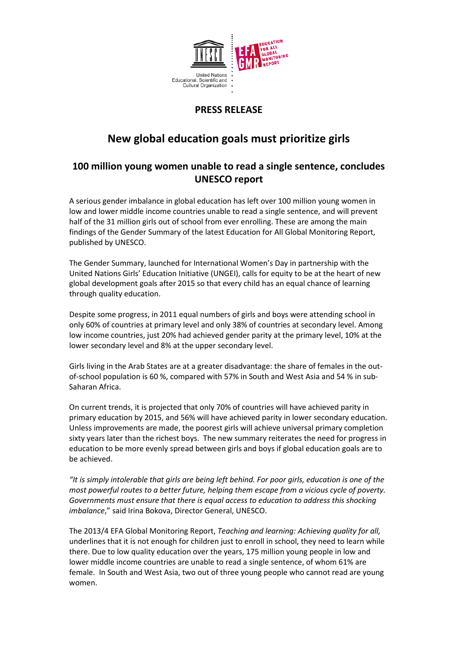

## **PRESS RELEASE**

# **New global education goals must prioritize girls**

### **100 million young women unable to read a single sentence, concludes UNESCO report**

A serious gender imbalance in global education has left over 100 million young women in low and lower middle income countries unable to read a single sentence, and will prevent half of the 31 million girls out of school from ever enrolling. These are among the main findings of the Gender Summary of the latest Education for All Global Monitoring Report, published by UNESCO.

The Gender Summary, launched for International Women's Day in partnership with the United Nations Girls' Education Initiative (UNGEI), calls for equity to be at the heart of new global development goals after 2015 so that every child has an equal chance of learning through quality education.

Despite some progress, in 2011 equal numbers of girls and boys were attending school in only 60% of countries at primary level and only 38% of countries at secondary level. Among low income countries, just 20% had achieved gender parity at the primary level, 10% at the lower secondary level and 8% at the upper secondary level.

Girls living in the Arab States are at a greater disadvantage: the share of females in the outof-school population is 60 %, compared with 57% in South and West Asia and 54 % in sub-Saharan Africa.

On current trends, it is projected that only 70% of countries will have achieved parity in primary education by 2015, and 56% will have achieved parity in lower secondary education. Unless improvements are made, the poorest girls will achieve universal primary completion sixty years later than the richest boys. The new summary reiterates the need for progress in education to be more evenly spread between girls and boys if global education goals are to be achieved.

*"It is simply intolerable that girls are being left behind. For poor girls, education is one of the most powerful routes to a better future, helping them escape from a vicious cycle of poverty. Governments must ensure that there is equal access to education to address this shocking imbalance*," said Irina Bokova, Director General, UNESCO.

The 2013/4 EFA Global Monitoring Report, *Teaching and learning: Achieving quality for all,* underlines that it is not enough for children just to enroll in school, they need to learn while there. Due to low quality education over the years, 175 million young people in low and lower middle income countries are unable to read a single sentence, of whom 61% are female. In South and West Asia, two out of three young people who cannot read are young women.